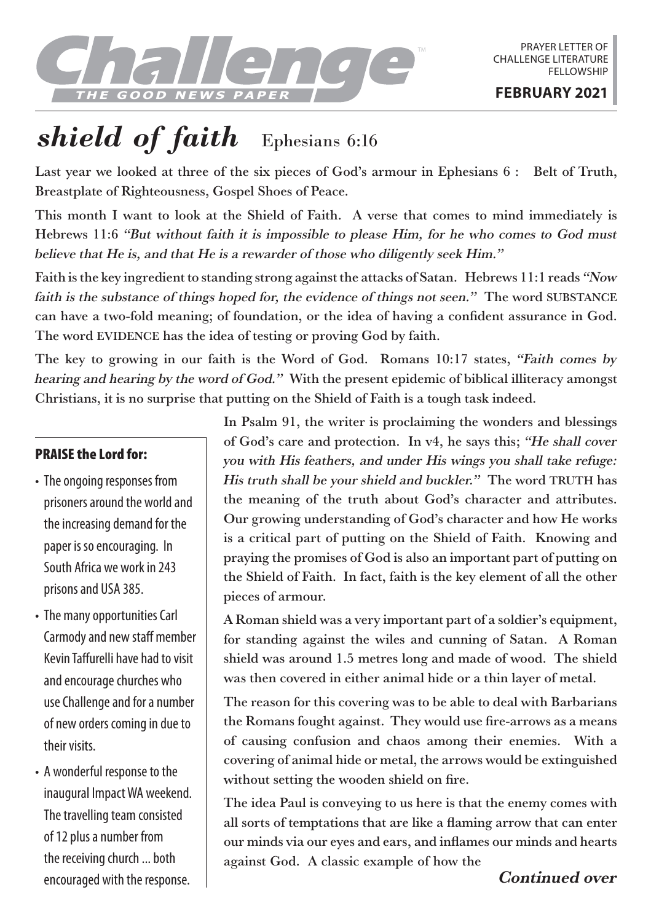

## *shield of faith* Ephesians 6:16

Last year we looked at three of the six pieces of God's armour in Ephesians 6 : Belt of Truth, Breastplate of Righteousness, Gospel Shoes of Peace.

This month I want to look at the Shield of Faith. A verse that comes to mind immediately is Hebrews 11:6 "But without faith it is impossible to please Him, for he who comes to God must believe that He is, and that He is a rewarder of those who diligently seek Him."

Faith is the key ingredient to standing strong against the attacks of Satan. Hebrews 11:1 reads "Now faith is the substance of things hoped for, the evidence of things not seen." The word SUBSTANCE can have a two-fold meaning; of foundation, or the idea of having a confident assurance in God. The word EVIDENCE has the idea of testing or proving God by faith.

The key to growing in our faith is the Word of God. Romans 10:17 states, "Faith comes by hearing and hearing by the word of God." With the present epidemic of biblical illiteracy amongst Christians, it is no surprise that putting on the Shield of Faith is a tough task indeed.

## PRAISE the Lord for:

- The ongoing responses from prisoners around the world and the increasing demand for the paper is so encouraging. In South Africa we work in 243 prisons and USA 385.
- The many opportunities Carl Carmody and new staff member Kevin Taffurelli have had to visit and encourage churches who use Challenge and for a number of new orders coming in due to their visits.
- A wonderful response to the inaugural Impact WA weekend. The travelling team consisted of 12 plus a number from the receiving church ... both encouraged with the response.

In Psalm 91, the writer is proclaiming the wonders and blessings of God's care and protection. In v4, he says this; "He shall cover you with His feathers, and under His wings you shall take refuge: His truth shall be your shield and buckler." The word TRUTH has the meaning of the truth about God's character and attributes. Our growing understanding of God's character and how He works is a critical part of putting on the Shield of Faith. Knowing and praying the promises of God is also an important part of putting on the Shield of Faith. In fact, faith is the key element of all the other pieces of armour.

A Roman shield was a very important part of a soldier's equipment, for standing against the wiles and cunning of Satan. A Roman shield was around 1.5 metres long and made of wood. The shield was then covered in either animal hide or a thin layer of metal.

The reason for this covering was to be able to deal with Barbarians the Romans fought against. They would use fire-arrows as a means of causing confusion and chaos among their enemies. With a covering of animal hide or metal, the arrows would be extinguished without setting the wooden shield on fire.

The idea Paul is conveying to us here is that the enemy comes with all sorts of temptations that are like a flaming arrow that can enter our minds via our eyes and ears, and inflames our minds and hearts against God. A classic example of how the

## Continued over